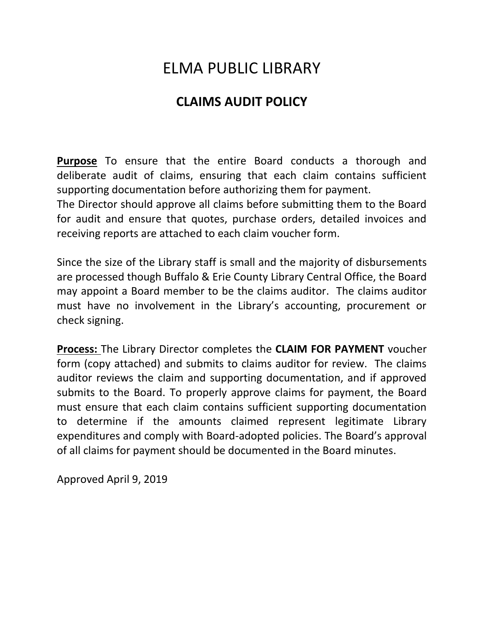## ELMA PUBLIC LIBRARY

## **CLAIMS AUDIT POLICY**

**Purpose** To ensure that the entire Board conducts a thorough and deliberate audit of claims, ensuring that each claim contains sufficient supporting documentation before authorizing them for payment.

The Director should approve all claims before submitting them to the Board for audit and ensure that quotes, purchase orders, detailed invoices and receiving reports are attached to each claim voucher form.

Since the size of the Library staff is small and the majority of disbursements are processed though Buffalo & Erie County Library Central Office, the Board may appoint a Board member to be the claims auditor. The claims auditor must have no involvement in the Library's accounting, procurement or check signing.

**Process:** The Library Director completes the **CLAIM FOR PAYMENT** voucher form (copy attached) and submits to claims auditor for review. The claims auditor reviews the claim and supporting documentation, and if approved submits to the Board. To properly approve claims for payment, the Board must ensure that each claim contains sufficient supporting documentation to determine if the amounts claimed represent legitimate Library expenditures and comply with Board-adopted policies. The Board's approval of all claims for payment should be documented in the Board minutes.

Approved April 9, 2019